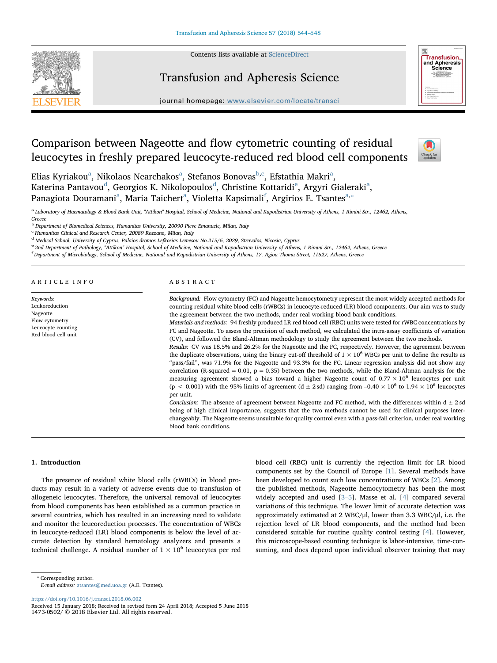

Contents lists available at [ScienceDirect](http://www.sciencedirect.com/science/journal/14730502)

## Transfusion and Apheresis Science



journal homepage: [www.elsevier.com/locate/transci](https://www.elsevier.com/locate/transci)

# Comparison between Nageotte and flow cytometric counting of residual leucocytes in freshly prepared leucocyte-reduced red blood cell components

 $\frac{N}{2}$ 

Eli[a](#page-0-0)s Kyriakou<sup>a</sup>, Nikolaos Nearchakos<sup>a</sup>, Stefanos Bonovas<sup>[b](#page-0-1)[,c](#page-0-2)</sup>, Efstath[ia](#page-0-0) Makri<sup>a</sup>, Kat[e](#page-0-4)rin[a](#page-0-0) Pantavou $^{\rm d}$  $^{\rm d}$  $^{\rm d}$ , Georgios K. Nikolopoulos $^{\rm d}$ , Christine Kottaridi $^{\rm e}$ , Argyri Gialeraki $^{\rm a}$ , P[a](#page-0-0)nagiota Douramani<sup>a</sup>, Maria Taichert<sup>a</sup>, Violetta Kapsimali<sup>[f](#page-0-5)</sup>, Argirios E. Tsantes<sup>a,</sup>\*

<span id="page-0-0"></span>a Laboratory of Haematology & Blood Bank Unit, "Attikon" Hospital, School of Medicine, National and Kapodistrian University of Athens, 1 Rimini Str., 12462, Athens, Greece

<span id="page-0-1"></span><sup>b</sup> Department of Biomedical Sciences, Humanitas University, 20090 Pieve Emanuele, Milan, Italy

<span id="page-0-2"></span>c<br>Humanitas Clinical and Research Center, 20089 Rozzano, Milan, Italy

<span id="page-0-3"></span><sup>d</sup> Medical School, University of Cyprus, Palaios dromos Lefkosias Lemesou No.215/6, 2029, Strovolos, Nicosia, Cyprus

<span id="page-0-4"></span>e 2nd Department of Pathology, "Attikon" Hospital, School of Medicine, National and Kapodistrian University of Athens, 1 Rimini Str., 12462, Athens, Greece

<span id="page-0-5"></span>f Department of Microbiology, School of Medicine, National and Kapodistrian University of Athens, 17, Agiou Thoma Street, 11527, Athens, Greece

ARTICLE INFO

Keywords: Leukoreduction Nageotte Flow cytometry Leucocyte counting Red blood cell unit

#### ABSTRACT

Background: Flow cytometry (FC) and Nageotte hemocytometry represent the most widely accepted methods for counting residual white blood cells (rWBCs) in leucocyte-reduced (LR) blood components. Our aim was to study the agreement between the two methods, under real working blood bank conditions.

Materials and methods: 94 freshly produced LR red blood cell (RBC) units were tested for rWBC concentrations by FC and Nageotte. To assess the precision of each method, we calculated the intra-assay coefficients of variation (CV), and followed the Bland-Altman methodology to study the agreement between the two methods.

Results: CV was 18.5% and 26.2% for the Nageotte and the FC, respectively. However, the agreement between the duplicate observations, using the binary cut-off threshold of  $1 \times 10^6$  WBCs per unit to define the results as "pass/fail", was 71.9% for the Nageotte and 93.3% for the FC. Linear regression analysis did not show any correlation (R-squared = 0.01,  $p = 0.35$ ) between the two methods, while the Bland-Altman analysis for the measuring agreement showed a bias toward a higher Nageotte count of  $0.77 \times 10^6$  leucocytes per unit (p < 0.001) with the 95% limits of agreement (d  $\pm$  2 sd) ranging from -0.40 × 10<sup>6</sup> to 1.94 × 10<sup>6</sup> leucocytes per unit.

Conclusion: The absence of agreement between Nageotte and FC method, with the differences within  $d \pm 2$  sd being of high clinical importance, suggests that the two methods cannot be used for clinical purposes interchangeably. The Nageotte seems unsuitable for quality control even with a pass-fail criterion, under real working blood bank conditions.

#### 1. Introduction

The presence of residual white blood cells (rWBCs) in blood products may result in a variety of adverse events due to transfusion of allogeneic leucocytes. Therefore, the universal removal of leucocytes from blood components has been established as a common practice in several countries, which has resulted in an increasing need to validate and monitor the leucoreduction processes. The concentration of WBCs in leucocyte-reduced (LR) blood components is below the level of accurate detection by standard hematology analyzers and presents a technical challenge. A residual number of  $1 \times 10^6$  leucocytes per red blood cell (RBC) unit is currently the rejection limit for LR blood components set by the Council of Europe [[1](#page-4-0)]. Several methods have been developed to count such low concentrations of WBCs [[2](#page-4-1)]. Among the published methods, Nageotte hemocytometry has been the most widely accepted and used [3–[5\]](#page-4-2). Masse et al. [[4](#page-4-3)] compared several variations of this technique. The lower limit of accurate detection was approximately estimated at 2 WBC/μl, lower than 3.3 WBC/μl, i.e. the rejection level of LR blood components, and the method had been considered suitable for routine quality control testing [\[4\]](#page-4-3). However, this microscope-based counting technique is labor-intensive, time-consuming, and does depend upon individual observer training that may

E-mail address: [atsantes@med.uoa.gr](mailto:atsantes@med.uoa.gr) (A.E. Tsantes).

<https://doi.org/10.1016/j.transci.2018.06.002>

<span id="page-0-6"></span><sup>⁎</sup> Corresponding author.

Received 15 January 2018; Received in revised form 24 April 2018; Accepted 5 June 2018 1473-0502/ © 2018 Elsevier Ltd. All rights reserved.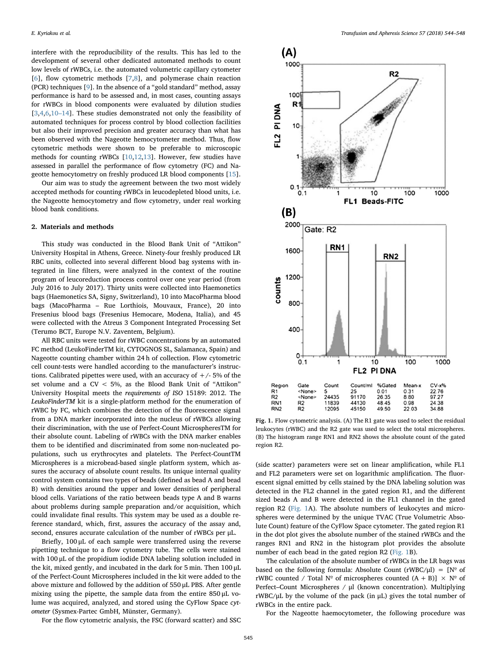interfere with the reproducibility of the results. This has led to the development of several other dedicated automated methods to count low levels of rWBCs, i.e. the automated volumetric capillary cytometer [[6](#page-4-4)], flow cytometric methods [[7,](#page-4-5)[8](#page-4-6)], and polymerase chain reaction (PCR) techniques [\[9\]](#page-4-7). In the absence of a "gold standard" method, assay performance is hard to be assessed and, in most cases, counting assays for rWBCs in blood components were evaluated by dilution studies [[3](#page-4-2),[4](#page-4-3)[,6](#page-4-4)[,10](#page-4-8)–14]. These studies demonstrated not only the feasibility of automated techniques for process control by blood collection facilities but also their improved precision and greater accuracy than what has been observed with the Nageotte hemocytometer method. Thus, flow cytometric methods were shown to be preferable to microscopic methods for counting rWBCs [[10,](#page-4-8)[12,](#page-4-9)[13](#page-4-10)]. However, few studies have assessed in parallel the performance of flow cytometry (FC) and Nageotte hemocytometry on freshly produced LR blood components [\[15](#page-4-11)].

Our aim was to study the agreement between the two most widely accepted methods for counting rWBCs in leucodepleted blood units, i.e. the Nageotte hemocytometry and flow cytometry, under real working blood bank conditions.

#### 2. Materials and methods

This study was conducted in the Blood Bank Unit of "Attikon" University Hospital in Athens, Greece. Ninety-four freshly produced LR RBC units, collected into several different blood bag systems with integrated in line filters, were analyzed in the context of the routine program of leucoreduction process control over one year period (from July 2016 to July 2017). Thirty units were collected into Haemonetics bags (Haemonetics SA, Signy, Switzerland), 10 into MacoPharma blood bags (MacoPharma – Rue Lorthiois, Mouvaux, France), 20 into Fresenius blood bags (Fresenius Hemocare, Modena, Italia), and 45 were collected with the Atreus 3 Component Integrated Processing Set (Terumo BCT, Europe N.V. Zaventem, Belgium).

All RBC units were tested for rWBC concentrations by an automated FC method (LeukoFinderTM kit, CYTOGNOS SL, Salamanca, Spain) and Nageotte counting chamber within 24 h of collection. Flow cytometric cell count-tests were handled according to the manufacturer's instructions. Calibrated pipettes were used, with an accuracy of  $+/-5%$  of the set volume and a CV < 5%, as the Blood Bank Unit of "Attikon" University Hospital meets the requirements of ISO 15189: 2012. The LeukoFinderTM kit is a single-platform method for the enumeration of rWBC by FC, which combines the detection of the fluorescence signal from a DNA marker incorporated into the nucleus of rWBCs allowing their discrimination, with the use of Perfect-Count MicrospheresTM for their absolute count. Labeling of rWBCs with the DNA marker enables them to be identified and discriminated from some non-nucleated populations, such us erythrocytes and platelets. The Perfect-CountTM Microspheres is a microbead-based single platform system, which assures the accuracy of absolute count results. Its unique internal quality control system contains two types of beads (defined as bead A and bead B) with densities around the upper and lower densities of peripheral blood cells. Variations of the ratio between beads type A and B warns about problems during sample preparation and/or acquisition, which could invalidate final results. This system may be used as a double reference standard, which, first, assures the accuracy of the assay and, second, ensures accurate calculation of the number of rWBCs per μL.

Briefly, 100 μL of each sample were transferred using the reverse pipetting technique to a flow cytometry tube. The cells were stained with 100 μL of the propidium iodide DNA labeling solution included in the kit, mixed gently, and incubated in the dark for 5 min. Then 100 μL of the Perfect-Count Microspheres included in the kit were added to the above mixture and followed by the addition of 550 μL PBS. After gentle mixing using the pipette, the sample data from the entire 850 μL volume was acquired, analyzed, and stored using the CyFlow Space cytometer (Sysmex-Partec GmbH, Münster, Germany).

<span id="page-1-0"></span>

Fig. 1. Flow cytometric analysis. (A) The R1 gate was used to select the residual leukocytes (rWBC) and the R2 gate was used to select the total microspheres. (B) The histogram range RN1 and RN2 shows the absolute count of the gated region R2.

(side scatter) parameters were set on linear amplification, while FL1 and FL2 parameters were set on logarithmic amplification. The fluorescent signal emitted by cells stained by the DNA labeling solution was detected in the FL2 channel in the gated region R1, and the different sized beads A and B were detected in the FL1 channel in the gated region R2 ([Fig. 1A](#page-1-0)). The absolute numbers of leukocytes and microspheres were determined by the unique TVAC (True Volumetric Absolute Count) feature of the CyFlow Space cytometer. The gated region R1 in the dot plot gives the absolute number of the stained rWBCs and the ranges RN1 and RN2 in the histogram plot provides the absolute number of each bead in the gated region R2 [\(Fig. 1B](#page-1-0)).

The calculation of the absolute number of rWBCs in the LR bags was based on the following formula: Absolute Count (rWBC/ $\mu$ l) = [Nº of rWBC counted / Total Nº of microspheres counted  $(A + B)] \times N$ <sup>o</sup> of Perfect–Count Microspheres / μl (known concentration). Multiplying rWBC/μL by the volume of the pack (in μL) gives the total number of rWBCs in the entire pack.

For the Nageotte haemocytometer, the following procedure was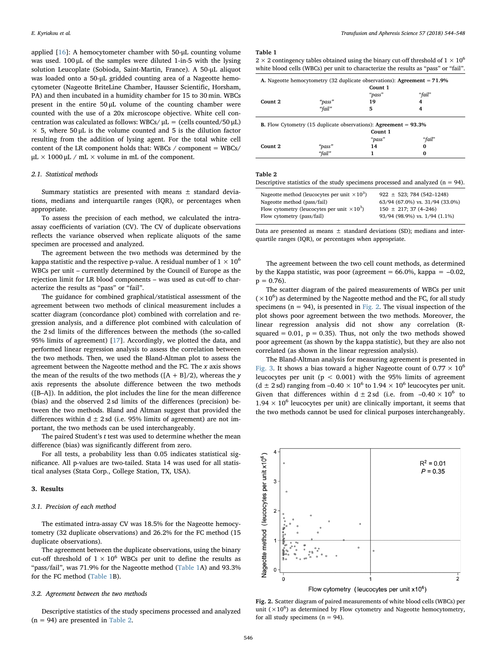applied [[16\]](#page-4-12): A hemocytometer chamber with 50-μL counting volume was used. 100 μL of the samples were diluted 1-in-5 with the lysing solution Leucoplate (Sobioda, Saint-Martin, France). A 50-μL aliquot was loaded onto a 50-μL gridded counting area of a Nageotte hemocytometer (Nageotte BriteLine Chamber, Hausser Scientific, Horsham, PA) and then incubated in a humidity chamber for 15 to 30 min. WBCs present in the entire 50 μL volume of the counting chamber were counted with the use of a 20x microscope objective. White cell concentration was calculated as follows: WBCs/ $μ$ L = (cells counted/50 $μ$ L)  $\times$  5, where 50 µL is the volume counted and 5 is the dilution factor resulting from the addition of lysing agent. For the total white cell content of the LR component holds that: WBCs / component = WBCs/ μL  $\times$  1000 μL / mL  $\times$  volume in mL of the component.

### 2.1. Statistical methods

Summary statistics are presented with means  $\pm$  standard deviations, medians and interquartile ranges (IQR), or percentages when appropriate.

To assess the precision of each method, we calculated the intraassay coefficients of variation (CV). The CV of duplicate observations reflects the variance observed when replicate aliquots of the same specimen are processed and analyzed.

The agreement between the two methods was determined by the kappa statistic and the respective p-value. A residual number of  $1 \times 10^6$ WBCs per unit – currently determined by the Council of Europe as the rejection limit for LR blood components – was used as cut-off to characterize the results as "pass" or "fail".

The guidance for combined graphical/statistical assessment of the agreement between two methods of clinical measurement includes a scatter diagram (concordance plot) combined with correlation and regression analysis, and a difference plot combined with calculation of the 2 sd limits of the differences between the methods (the so-called 95% limits of agreement) [\[17](#page-4-13)]. Accordingly, we plotted the data, and performed linear regression analysis to assess the correlation between the two methods. Then, we used the Bland-Altman plot to assess the agreement between the Nageotte method and the FC. The  $x$  axis shows the mean of the results of the two methods ( $[A + B]/2$ ), whereas the y axis represents the absolute difference between the two methods ([B–A]). In addition, the plot includes the line for the mean difference (bias) and the observed 2 sd limits of the differences (precision) between the two methods. Bland and Altman suggest that provided the differences within  $d \pm 2$  sd (i.e. 95% limits of agreement) are not important, the two methods can be used interchangeably.

The paired Student's  $t$  test was used to determine whether the mean difference (bias) was significantly different from zero.

For all tests, a probability less than 0.05 indicates statistical significance. All p-values are two-tailed. Stata 14 was used for all statistical analyses (Stata Corp., College Station, TX, USA).

#### 3. Results

#### 3.1. Precision of each method

The estimated intra-assay CV was 18.5% for the Nageotte hemocytometry (32 duplicate observations) and 26.2% for the FC method (15 duplicate observations).

The agreement between the duplicate observations, using the binary cut-off threshold of  $1 \times 10^6$  WBCs per unit to define the results as "pass/fail", was 71.9% for the Nageotte method [\(Table 1A](#page-2-0)) and 93.3% for the FC method ([Table 1](#page-2-0)B).

#### 3.2. Agreement between the two methods

Descriptive statistics of the study specimens processed and analyzed  $(n = 94)$  are presented in [Table 2.](#page-2-1)

#### <span id="page-2-0"></span>Table 1

 $2\times 2$  contingency tables obtained using the binary cut-off threshold of  $1\times 10^6$ white blood cells (WBCs) per unit to characterize the results as "pass" or "fail".

|         |        | A. Nageotte hemocytometry (32 duplicate observations): Agreement = 71.9%   |        |  |
|---------|--------|----------------------------------------------------------------------------|--------|--|
|         |        | Count 1                                                                    |        |  |
|         |        | "pass"                                                                     | "fail" |  |
| Count 2 | "pass" | 19                                                                         | 4      |  |
|         | "fail" | 5                                                                          | 4      |  |
|         |        |                                                                            |        |  |
|         |        | <b>B.</b> Flow Cytometry (15 duplicate observations): Agreement $= 93.3\%$ |        |  |
|         |        | Count 1                                                                    |        |  |
|         |        | "pass"                                                                     | "fail" |  |
| Count 2 | "pass" | 14                                                                         | 0      |  |

#### <span id="page-2-1"></span>Table 2

Descriptive statistics of the study specimens processed and analyzed ( $n = 94$ ).

| $922 \pm 523$ ; 784 (542-1248)  |  |
|---------------------------------|--|
| 63/94 (67.0%) vs. 31/94 (33.0%) |  |
| $150 \pm 217$ : 37 (4-246)      |  |
| 93/94 (98.9%) vs. 1/94 (1.1%)   |  |
|                                 |  |

Data are presented as means  $\pm$  standard deviations (SD); medians and interquartile ranges (IQR), or percentages when appropriate.

The agreement between the two cell count methods, as determined by the Kappa statistic, was poor (agreement =  $66.0\%$ , kappa =  $-0.02$ ,  $p = 0.76$ ).

The scatter diagram of the paired measurements of WBCs per unit  $(\times 10^6)$  as determined by the Nageotte method and the FC, for all study specimens ( $n = 94$ ), is presented in [Fig. 2.](#page-2-2) The visual inspection of the plot shows poor agreement between the two methods. Moreover, the linear regression analysis did not show any correlation (Rsquared =  $0.01$ ,  $p = 0.35$ ). Thus, not only the two methods showed poor agreement (as shown by the kappa statistic), but they are also not correlated (as shown in the linear regression analysis).

The Bland-Altman analysis for measuring agreement is presented in [Fig. 3](#page-3-0). It shows a bias toward a higher Nageotte count of  $0.77 \times 10^6$ leucocytes per unit ( $p < 0.001$ ) with the 95% limits of agreement (d  $\pm$  2 sd) ranging from –0.40  $\times$  10<sup>6</sup> to 1.94  $\times$  10<sup>6</sup> leucocytes per unit. Given that differences within  $d \pm 2$  sd (i.e. from  $-0.40 \times 10^6$  to  $1.94 \times 10^6$  leucocytes per unit) are clinically important, it seems that the two methods cannot be used for clinical purposes interchangeably.

<span id="page-2-2"></span>![](_page_2_Figure_26.jpeg)

Fig. 2. Scatter diagram of paired measurements of white blood cells (WBCs) per unit ( $\times 10^6$ ) as determined by Flow cytometry and Nageotte hemocytometry, for all study specimens ( $n = 94$ ).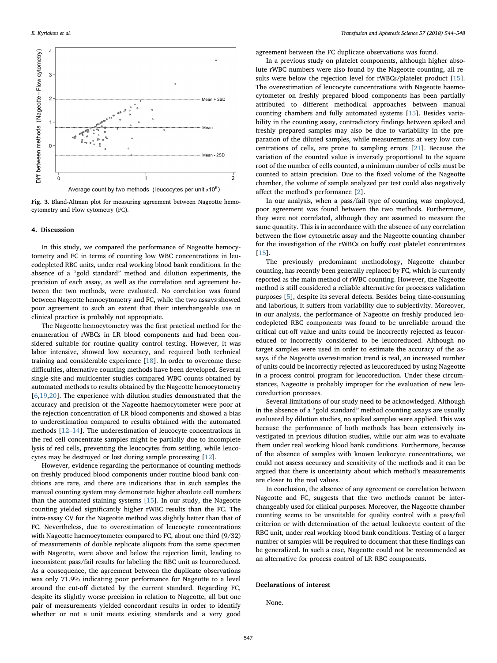<span id="page-3-0"></span>![](_page_3_Figure_1.jpeg)

Fig. 3. Bland-Altman plot for measuring agreement between Nageotte hemocytometry and Flow cytometry (FC).

#### 4. Discussion

In this study, we compared the performance of Nageotte hemocytometry and FC in terms of counting low WBC concentrations in leucodepleted RBC units, under real working blood bank conditions. In the absence of a "gold standard" method and dilution experiments, the precision of each assay, as well as the correlation and agreement between the two methods, were evaluated. No correlation was found between Nageotte hemocytometry and FC, while the two assays showed poor agreement to such an extent that their interchangeable use in clinical practice is probably not appropriate.

The Nageotte hemocytometry was the first practical method for the enumeration of rWBCs in LR blood components and had been considered suitable for routine quality control testing. However, it was labor intensive, showed low accuracy, and required both technical training and considerable experience [[18\]](#page-4-14). In order to overcome these difficulties, alternative counting methods have been developed. Several single-site and multicenter studies compared WBC counts obtained by automated methods to results obtained by the Nageotte hemocytometry [[6](#page-4-4),[19,](#page-4-15)[20\]](#page-4-16). The experience with dilution studies demonstrated that the accuracy and precision of the Nageotte haemocytometer were poor at the rejection concentration of LR blood components and showed a bias to underestimation compared to results obtained with the automated methods [12–[14\]](#page-4-9). The underestimation of leucocyte concentrations in the red cell concentrate samples might be partially due to incomplete lysis of red cells, preventing the leucocytes from settling, while leucocytes may be destroyed or lost during sample processing [\[12](#page-4-9)].

However, evidence regarding the performance of counting methods on freshly produced blood components under routine blood bank conditions are rare, and there are indications that in such samples the manual counting system may demonstrate higher absolute cell numbers than the automated staining systems [[15\]](#page-4-11). In our study, the Nageotte counting yielded significantly higher rWBC results than the FC. The intra-assay CV for the Nageotte method was slightly better than that of FC. Nevertheless, due to overestimation of leucocyte concentrations with Nageotte haemocytometer compared to FC, about one third (9/32) of measurements of double replicate aliquots from the same specimen with Nageotte, were above and below the rejection limit, leading to inconsistent pass/fail results for labeling the RBC unit as leucoreduced. As a consequence, the agreement between the duplicate observations was only 71.9% indicating poor performance for Nageotte to a level around the cut-off dictated by the current standard. Regarding FC, despite its slightly worse precision in relation to Nageotte, all but one pair of measurements yielded concordant results in order to identify whether or not a unit meets existing standards and a very good

agreement between the FC duplicate observations was found.

In a previous study on platelet components, although higher absolute rWBC numbers were also found by the Nageotte counting, all results were below the rejection level for rWBCs/platelet product [\[15](#page-4-11)]. The overestimation of leucocyte concentrations with Nageotte haemocytometer on freshly prepared blood components has been partially attributed to different methodical approaches between manual counting chambers and fully automated systems [[15\]](#page-4-11). Besides variability in the counting assay, contradictory findings between spiked and freshly prepared samples may also be due to variability in the preparation of the diluted samples, while measurements at very low concentrations of cells, are prone to sampling errors [\[21](#page-4-17)]. Because the variation of the counted value is inversely proportional to the square root of the number of cells counted, a minimum number of cells must be counted to attain precision. Due to the fixed volume of the Nageotte chamber, the volume of sample analyzed per test could also negatively affect the method's performance [[2](#page-4-1)].

In our analysis, when a pass/fail type of counting was employed, poor agreement was found between the two methods. Furthermore, they were not correlated, although they are assumed to measure the same quantity. This is in accordance with the absence of any correlation between the flow cytometric assay and the Nageotte counting chamber for the investigation of the rWBCs on buffy coat platelet concentrates [[15\]](#page-4-11).

The previously predominant methodology, Nageotte chamber counting, has recently been generally replaced by FC, which is currently reported as the main method of rWBC counting. However, the Nageotte method is still considered a reliable alternative for processes validation purposes [[5](#page-4-18)], despite its several defects. Besides being time-consuming and laborious, it suffers from variability due to subjectivity. Moreover, in our analysis, the performance of Nageotte on freshly produced leucodepleted RBC components was found to be unreliable around the critical cut-off value and units could be incorrectly rejected as leucoreduced or incorrectly considered to be leucoreduced. Although no target samples were used in order to estimate the accuracy of the assays, if the Nageotte overestimation trend is real, an increased number of units could be incorrectly rejected as leucoreduced by using Nageotte in a process control program for leucoreduction. Under these circumstances, Nageotte is probably improper for the evaluation of new leucoreduction processes.

Several limitations of our study need to be acknowledged. Although in the absence of a "gold standard" method counting assays are usually evaluated by dilution studies, no spiked samples were applied. This was because the performance of both methods has been extensively investigated in previous dilution studies, while our aim was to evaluate them under real working blood bank conditions. Furthermore, because of the absence of samples with known leukocyte concentrations, we could not assess accuracy and sensitivity of the methods and it can be argued that there is uncertainty about which method's measurements are closer to the real values.

In conclusion, the absence of any agreement or correlation between Nageotte and FC, suggests that the two methods cannot be interchangeably used for clinical purposes. Moreover, the Nageotte chamber counting seems to be unsuitable for quality control with a pass/fail criterion or with determination of the actual leukocyte content of the RBC unit, under real working blood bank conditions. Testing of a larger number of samples will be required to document that these findings can be generalized. In such a case, Nageotte could not be recommended as an alternative for process control of LR RBC components.

#### Declarations of interest

None.